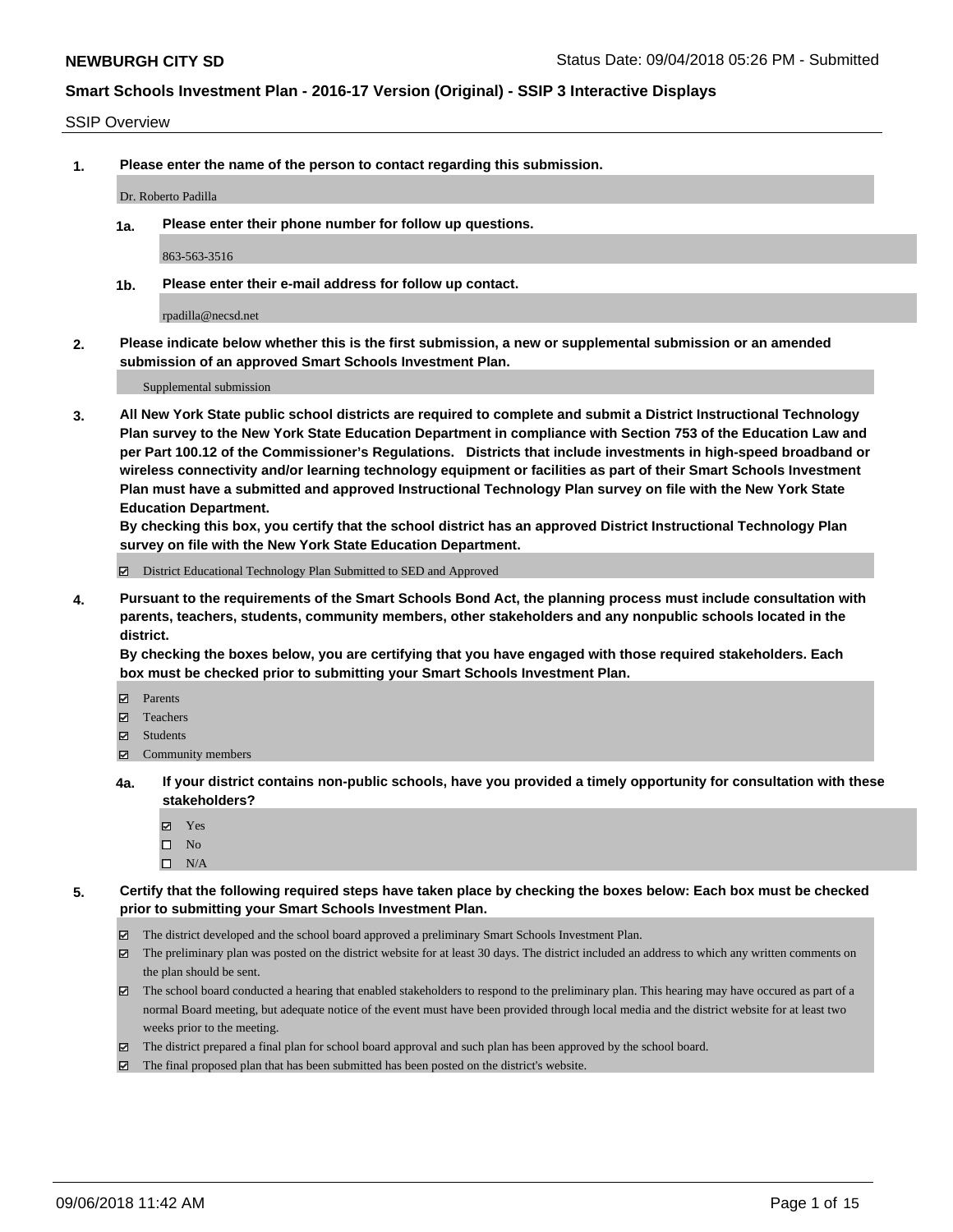#### SSIP Overview

**1. Please enter the name of the person to contact regarding this submission.**

Dr. Roberto Padilla

**1a. Please enter their phone number for follow up questions.**

863-563-3516

**1b. Please enter their e-mail address for follow up contact.**

rpadilla@necsd.net

**2. Please indicate below whether this is the first submission, a new or supplemental submission or an amended submission of an approved Smart Schools Investment Plan.**

Supplemental submission

**3. All New York State public school districts are required to complete and submit a District Instructional Technology Plan survey to the New York State Education Department in compliance with Section 753 of the Education Law and per Part 100.12 of the Commissioner's Regulations. Districts that include investments in high-speed broadband or wireless connectivity and/or learning technology equipment or facilities as part of their Smart Schools Investment Plan must have a submitted and approved Instructional Technology Plan survey on file with the New York State Education Department.** 

**By checking this box, you certify that the school district has an approved District Instructional Technology Plan survey on file with the New York State Education Department.**

District Educational Technology Plan Submitted to SED and Approved

**4. Pursuant to the requirements of the Smart Schools Bond Act, the planning process must include consultation with parents, teachers, students, community members, other stakeholders and any nonpublic schools located in the district.** 

**By checking the boxes below, you are certifying that you have engaged with those required stakeholders. Each box must be checked prior to submitting your Smart Schools Investment Plan.**

- **Parents**
- Teachers
- **☑** Students
- **☑** Community members
- **4a. If your district contains non-public schools, have you provided a timely opportunity for consultation with these stakeholders?**
	- **Ø** Yes
	- $\square$  No
	- $\square$  N/A
- **5. Certify that the following required steps have taken place by checking the boxes below: Each box must be checked prior to submitting your Smart Schools Investment Plan.**
	- The district developed and the school board approved a preliminary Smart Schools Investment Plan.
	- $\boxtimes$  The preliminary plan was posted on the district website for at least 30 days. The district included an address to which any written comments on the plan should be sent.
	- The school board conducted a hearing that enabled stakeholders to respond to the preliminary plan. This hearing may have occured as part of a normal Board meeting, but adequate notice of the event must have been provided through local media and the district website for at least two weeks prior to the meeting.
	- The district prepared a final plan for school board approval and such plan has been approved by the school board.
	- The final proposed plan that has been submitted has been posted on the district's website.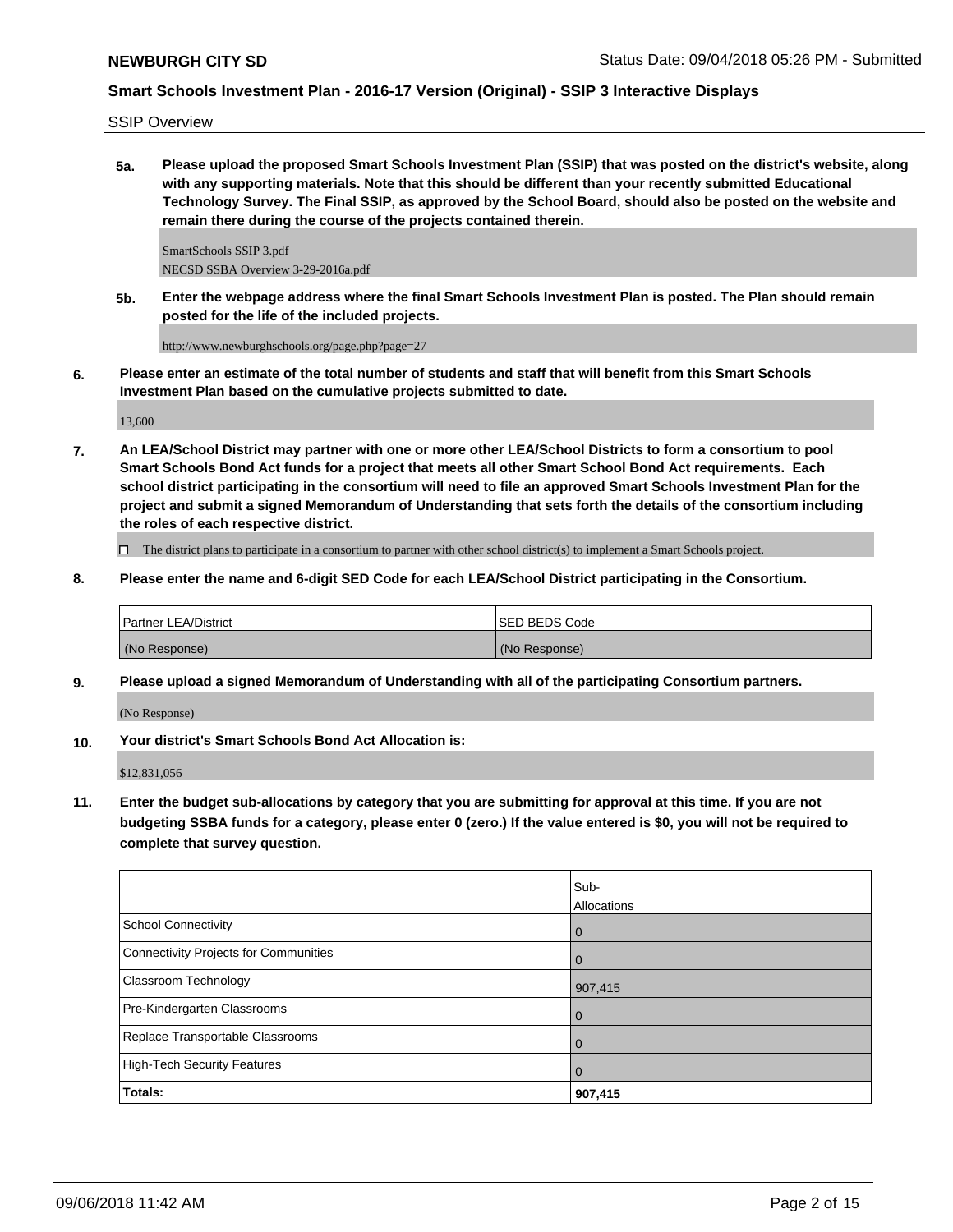SSIP Overview

**5a. Please upload the proposed Smart Schools Investment Plan (SSIP) that was posted on the district's website, along with any supporting materials. Note that this should be different than your recently submitted Educational Technology Survey. The Final SSIP, as approved by the School Board, should also be posted on the website and remain there during the course of the projects contained therein.**

SmartSchools SSIP 3.pdf NECSD SSBA Overview 3-29-2016a.pdf

**5b. Enter the webpage address where the final Smart Schools Investment Plan is posted. The Plan should remain posted for the life of the included projects.**

http://www.newburghschools.org/page.php?page=27

**6. Please enter an estimate of the total number of students and staff that will benefit from this Smart Schools Investment Plan based on the cumulative projects submitted to date.**

13,600

**7. An LEA/School District may partner with one or more other LEA/School Districts to form a consortium to pool Smart Schools Bond Act funds for a project that meets all other Smart School Bond Act requirements. Each school district participating in the consortium will need to file an approved Smart Schools Investment Plan for the project and submit a signed Memorandum of Understanding that sets forth the details of the consortium including the roles of each respective district.**

 $\Box$  The district plans to participate in a consortium to partner with other school district(s) to implement a Smart Schools project.

**8. Please enter the name and 6-digit SED Code for each LEA/School District participating in the Consortium.**

| <b>Partner LEA/District</b> | ISED BEDS Code |
|-----------------------------|----------------|
| (No Response)               | (No Response)  |

**9. Please upload a signed Memorandum of Understanding with all of the participating Consortium partners.**

(No Response)

**10. Your district's Smart Schools Bond Act Allocation is:**

\$12,831,056

**11. Enter the budget sub-allocations by category that you are submitting for approval at this time. If you are not budgeting SSBA funds for a category, please enter 0 (zero.) If the value entered is \$0, you will not be required to complete that survey question.**

|                                              | Sub-<br>Allocations |
|----------------------------------------------|---------------------|
| <b>School Connectivity</b>                   | 0                   |
| <b>Connectivity Projects for Communities</b> | $\overline{0}$      |
| <b>Classroom Technology</b>                  | 907,415             |
| Pre-Kindergarten Classrooms                  | 0                   |
| Replace Transportable Classrooms             | $\mathbf 0$         |
| <b>High-Tech Security Features</b>           | $\mathbf 0$         |
| Totals:                                      | 907,415             |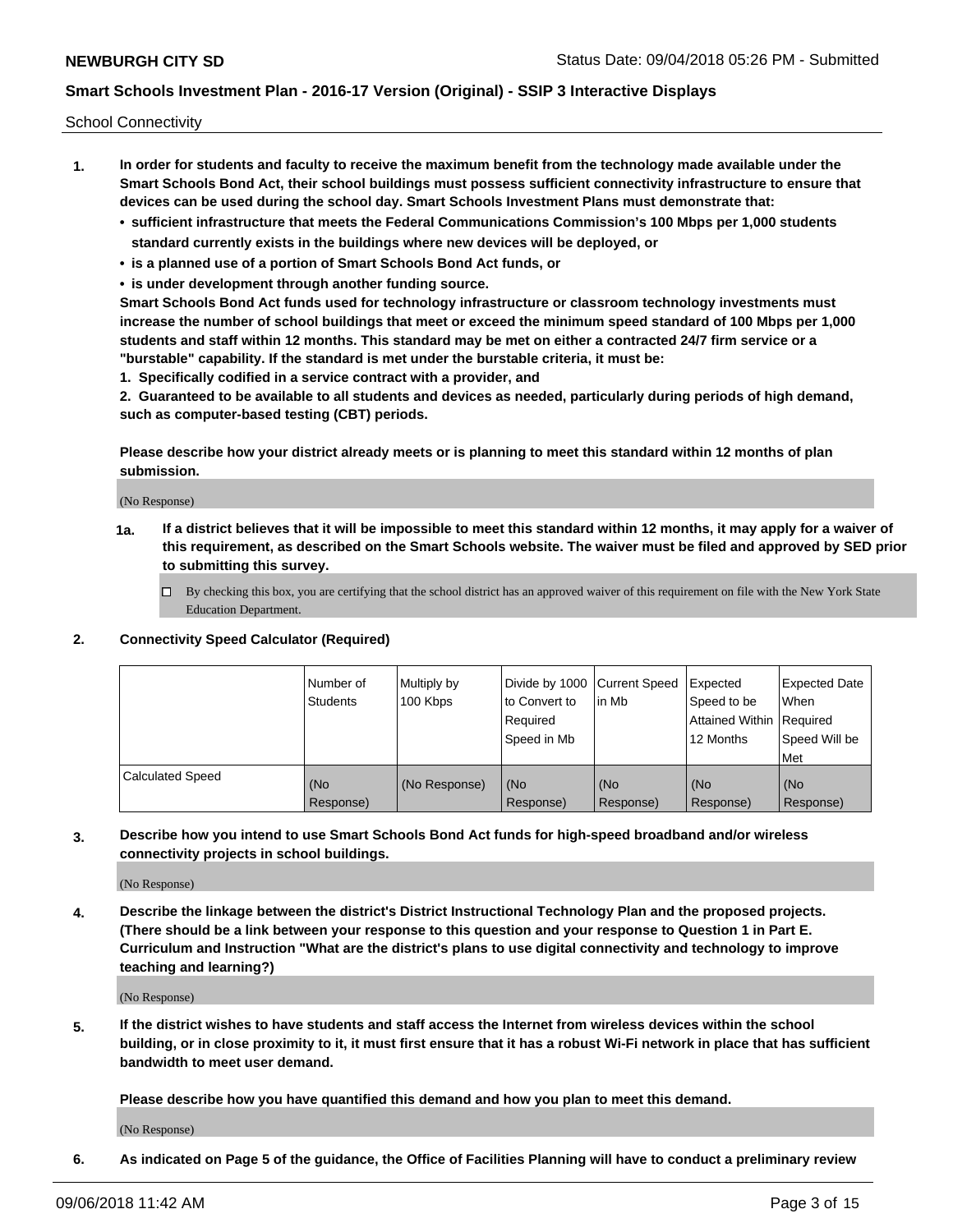School Connectivity

- **1. In order for students and faculty to receive the maximum benefit from the technology made available under the Smart Schools Bond Act, their school buildings must possess sufficient connectivity infrastructure to ensure that devices can be used during the school day. Smart Schools Investment Plans must demonstrate that:**
	- **• sufficient infrastructure that meets the Federal Communications Commission's 100 Mbps per 1,000 students standard currently exists in the buildings where new devices will be deployed, or**
	- **• is a planned use of a portion of Smart Schools Bond Act funds, or**
	- **• is under development through another funding source.**

**Smart Schools Bond Act funds used for technology infrastructure or classroom technology investments must increase the number of school buildings that meet or exceed the minimum speed standard of 100 Mbps per 1,000 students and staff within 12 months. This standard may be met on either a contracted 24/7 firm service or a "burstable" capability. If the standard is met under the burstable criteria, it must be:**

**1. Specifically codified in a service contract with a provider, and**

**2. Guaranteed to be available to all students and devices as needed, particularly during periods of high demand, such as computer-based testing (CBT) periods.**

**Please describe how your district already meets or is planning to meet this standard within 12 months of plan submission.**

(No Response)

**1a. If a district believes that it will be impossible to meet this standard within 12 months, it may apply for a waiver of this requirement, as described on the Smart Schools website. The waiver must be filed and approved by SED prior to submitting this survey.**

 $\Box$  By checking this box, you are certifying that the school district has an approved waiver of this requirement on file with the New York State Education Department.

#### **2. Connectivity Speed Calculator (Required)**

|                         | l Number of<br><b>Students</b> | Multiply by<br>100 Kbps | Divide by 1000 Current Speed<br>to Convert to<br>Required<br>l Speed in Mb | lin Mb           | Expected<br>Speed to be<br>Attained Within   Required<br>12 Months | <b>Expected Date</b><br>When<br>Speed Will be<br>Met |
|-------------------------|--------------------------------|-------------------------|----------------------------------------------------------------------------|------------------|--------------------------------------------------------------------|------------------------------------------------------|
| <b>Calculated Speed</b> | (No<br>Response)               | (No Response)           | (No<br>Response)                                                           | (No<br>Response) | (No<br>Response)                                                   | (No<br>Response)                                     |

**3. Describe how you intend to use Smart Schools Bond Act funds for high-speed broadband and/or wireless connectivity projects in school buildings.**

(No Response)

**4. Describe the linkage between the district's District Instructional Technology Plan and the proposed projects. (There should be a link between your response to this question and your response to Question 1 in Part E. Curriculum and Instruction "What are the district's plans to use digital connectivity and technology to improve teaching and learning?)**

(No Response)

**5. If the district wishes to have students and staff access the Internet from wireless devices within the school building, or in close proximity to it, it must first ensure that it has a robust Wi-Fi network in place that has sufficient bandwidth to meet user demand.**

**Please describe how you have quantified this demand and how you plan to meet this demand.**

(No Response)

**6. As indicated on Page 5 of the guidance, the Office of Facilities Planning will have to conduct a preliminary review**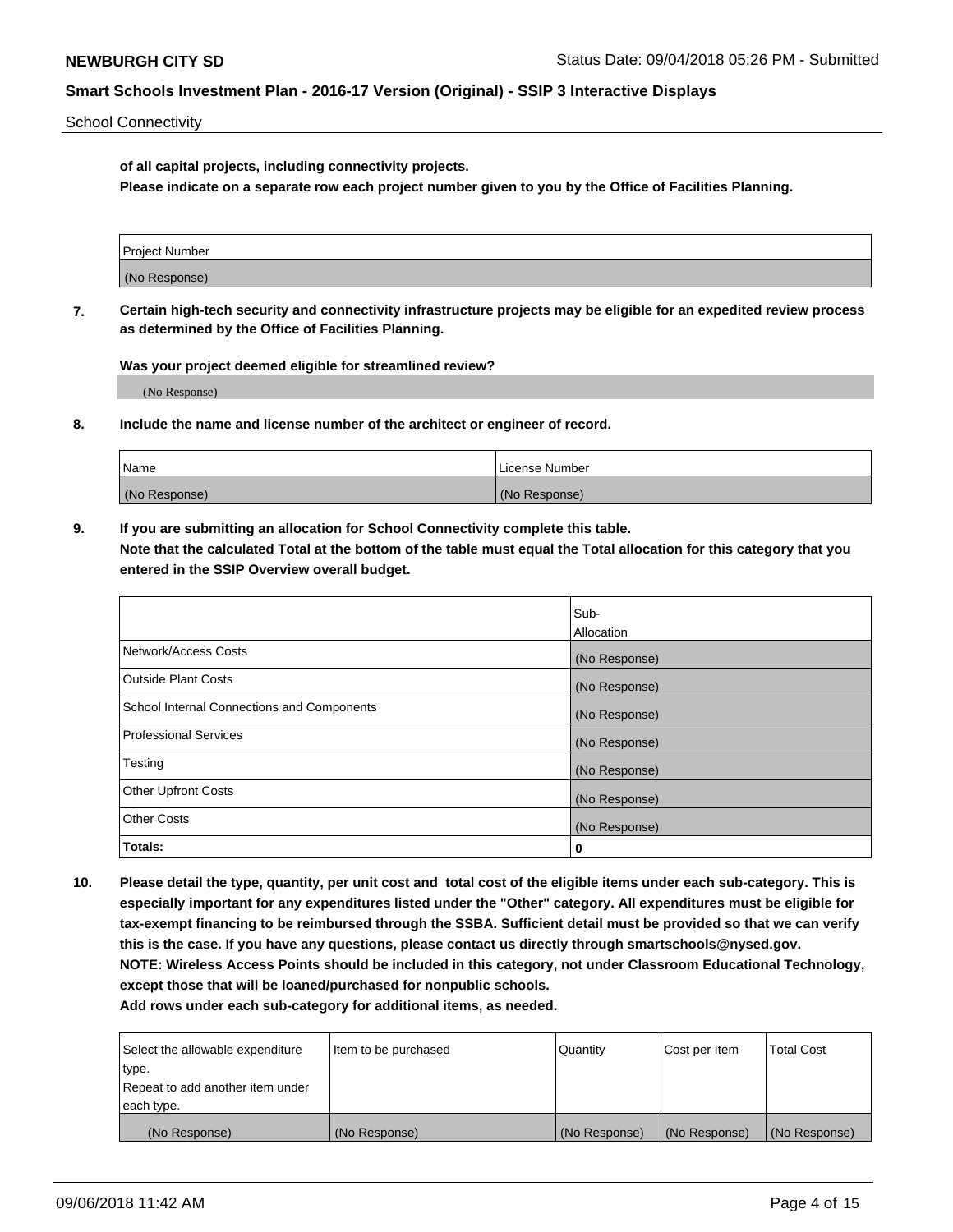School Connectivity

**of all capital projects, including connectivity projects.**

**Please indicate on a separate row each project number given to you by the Office of Facilities Planning.**

| Project Number |  |
|----------------|--|
|                |  |
|                |  |
| (No Response)  |  |
|                |  |

**7. Certain high-tech security and connectivity infrastructure projects may be eligible for an expedited review process as determined by the Office of Facilities Planning.**

**Was your project deemed eligible for streamlined review?**

(No Response)

**8. Include the name and license number of the architect or engineer of record.**

| Name          | License Number |
|---------------|----------------|
| (No Response) | (No Response)  |

**9. If you are submitting an allocation for School Connectivity complete this table. Note that the calculated Total at the bottom of the table must equal the Total allocation for this category that you entered in the SSIP Overview overall budget.** 

|                                            | Sub-              |
|--------------------------------------------|-------------------|
|                                            | <b>Allocation</b> |
| Network/Access Costs                       | (No Response)     |
| <b>Outside Plant Costs</b>                 | (No Response)     |
| School Internal Connections and Components | (No Response)     |
| <b>Professional Services</b>               | (No Response)     |
| Testing                                    | (No Response)     |
| <b>Other Upfront Costs</b>                 | (No Response)     |
| <b>Other Costs</b>                         | (No Response)     |
| Totals:                                    | 0                 |

**10. Please detail the type, quantity, per unit cost and total cost of the eligible items under each sub-category. This is especially important for any expenditures listed under the "Other" category. All expenditures must be eligible for tax-exempt financing to be reimbursed through the SSBA. Sufficient detail must be provided so that we can verify this is the case. If you have any questions, please contact us directly through smartschools@nysed.gov. NOTE: Wireless Access Points should be included in this category, not under Classroom Educational Technology, except those that will be loaned/purchased for nonpublic schools.**

| Select the allowable expenditure | Item to be purchased | Quantity      | Cost per Item | <b>Total Cost</b> |
|----------------------------------|----------------------|---------------|---------------|-------------------|
| type.                            |                      |               |               |                   |
| Repeat to add another item under |                      |               |               |                   |
| each type.                       |                      |               |               |                   |
| (No Response)                    | (No Response)        | (No Response) | (No Response) | (No Response)     |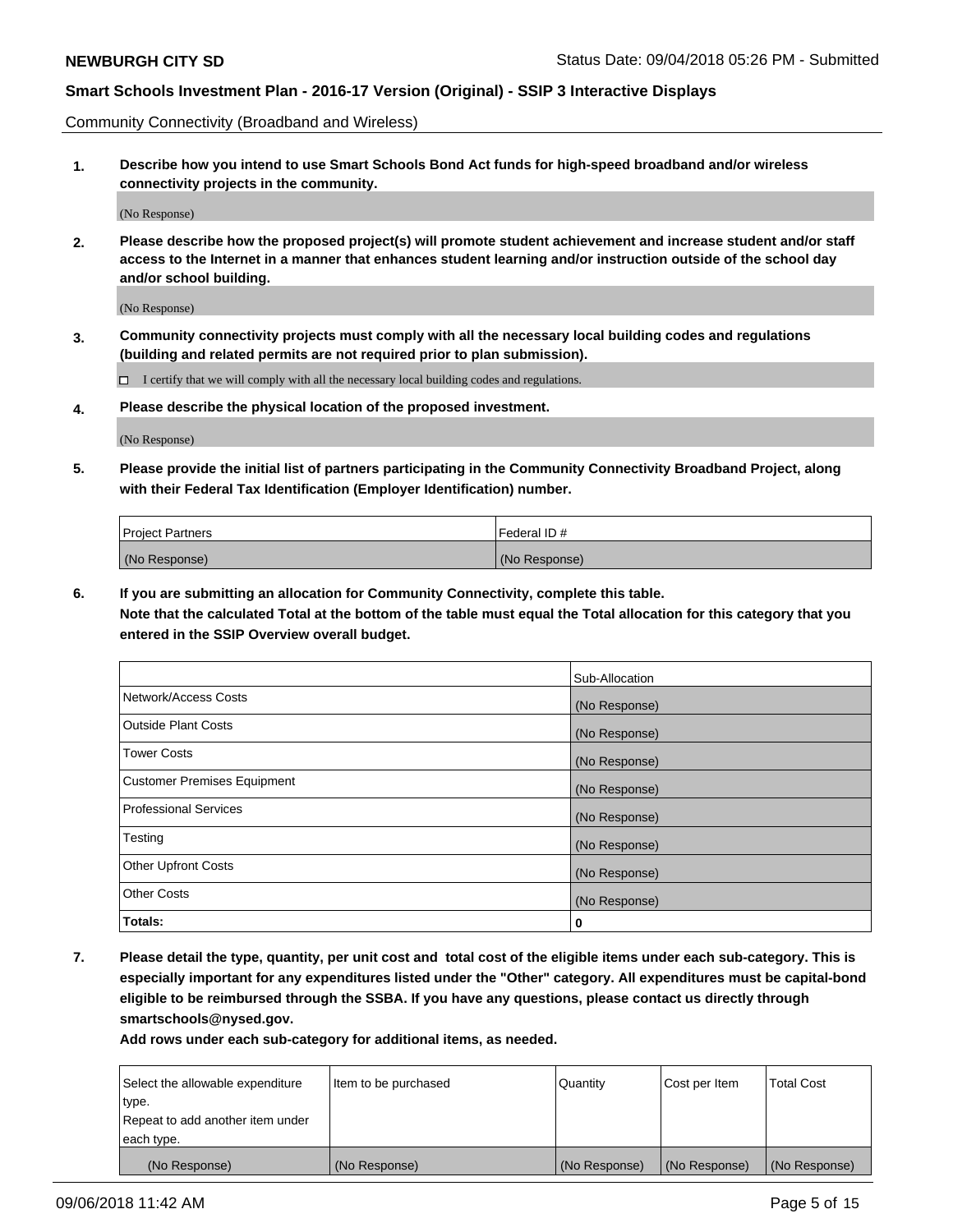Community Connectivity (Broadband and Wireless)

**1. Describe how you intend to use Smart Schools Bond Act funds for high-speed broadband and/or wireless connectivity projects in the community.**

(No Response)

**2. Please describe how the proposed project(s) will promote student achievement and increase student and/or staff access to the Internet in a manner that enhances student learning and/or instruction outside of the school day and/or school building.**

(No Response)

**3. Community connectivity projects must comply with all the necessary local building codes and regulations (building and related permits are not required prior to plan submission).**

 $\Box$  I certify that we will comply with all the necessary local building codes and regulations.

**4. Please describe the physical location of the proposed investment.**

(No Response)

**5. Please provide the initial list of partners participating in the Community Connectivity Broadband Project, along with their Federal Tax Identification (Employer Identification) number.**

| <b>Project Partners</b> | l Federal ID # |
|-------------------------|----------------|
| (No Response)           | (No Response)  |

**6. If you are submitting an allocation for Community Connectivity, complete this table.**

**Note that the calculated Total at the bottom of the table must equal the Total allocation for this category that you entered in the SSIP Overview overall budget.**

|                                    | Sub-Allocation |
|------------------------------------|----------------|
| Network/Access Costs               | (No Response)  |
| <b>Outside Plant Costs</b>         | (No Response)  |
| <b>Tower Costs</b>                 | (No Response)  |
| <b>Customer Premises Equipment</b> | (No Response)  |
| <b>Professional Services</b>       | (No Response)  |
| Testing                            | (No Response)  |
| <b>Other Upfront Costs</b>         | (No Response)  |
| <b>Other Costs</b>                 | (No Response)  |
| Totals:                            | 0              |

**7. Please detail the type, quantity, per unit cost and total cost of the eligible items under each sub-category. This is especially important for any expenditures listed under the "Other" category. All expenditures must be capital-bond eligible to be reimbursed through the SSBA. If you have any questions, please contact us directly through smartschools@nysed.gov.**

| Select the allowable expenditure | Item to be purchased | Quantity      | Cost per Item | <b>Total Cost</b> |
|----------------------------------|----------------------|---------------|---------------|-------------------|
| type.                            |                      |               |               |                   |
| Repeat to add another item under |                      |               |               |                   |
| each type.                       |                      |               |               |                   |
| (No Response)                    | (No Response)        | (No Response) | (No Response) | (No Response)     |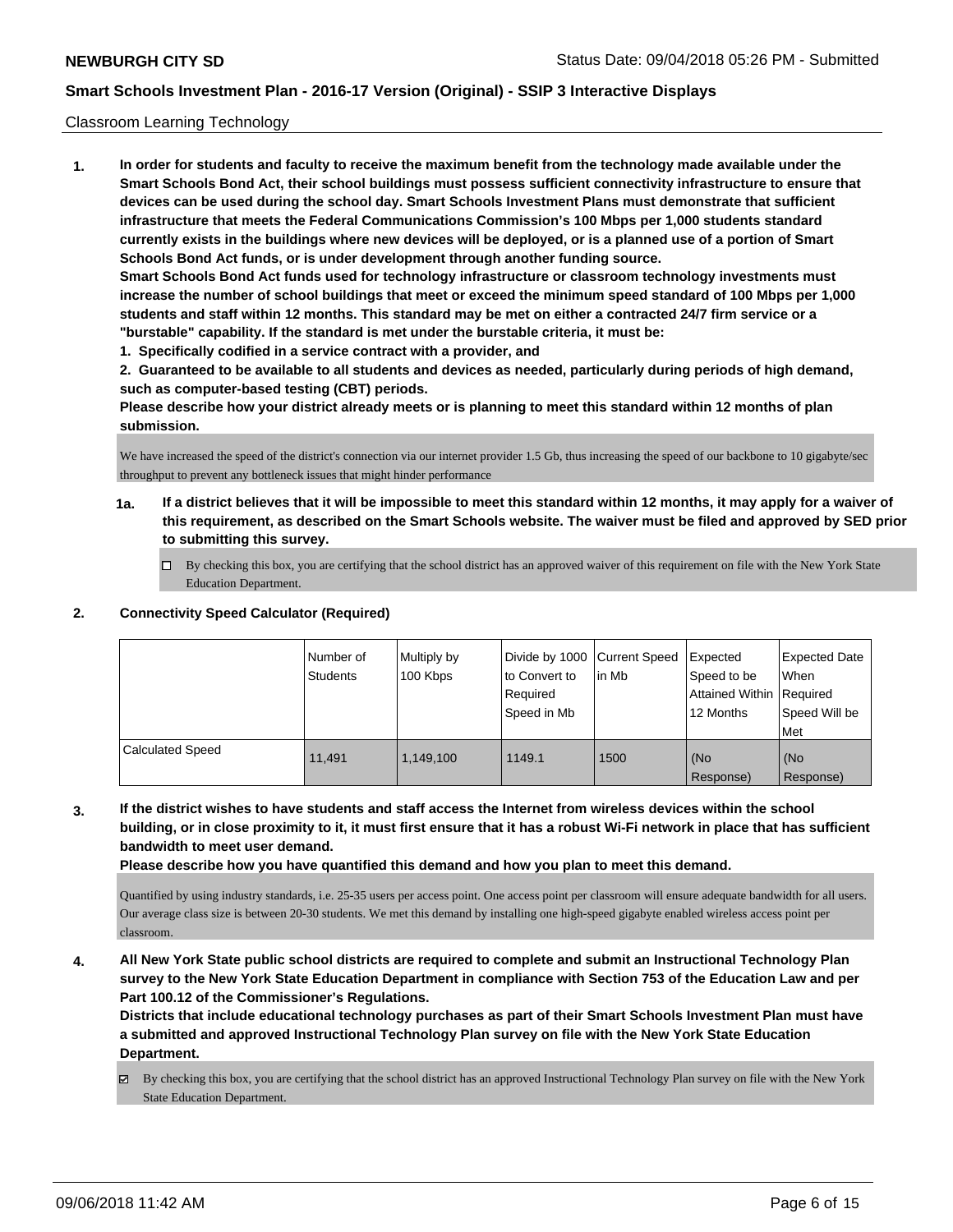### Classroom Learning Technology

**1. In order for students and faculty to receive the maximum benefit from the technology made available under the Smart Schools Bond Act, their school buildings must possess sufficient connectivity infrastructure to ensure that devices can be used during the school day. Smart Schools Investment Plans must demonstrate that sufficient infrastructure that meets the Federal Communications Commission's 100 Mbps per 1,000 students standard currently exists in the buildings where new devices will be deployed, or is a planned use of a portion of Smart Schools Bond Act funds, or is under development through another funding source. Smart Schools Bond Act funds used for technology infrastructure or classroom technology investments must increase the number of school buildings that meet or exceed the minimum speed standard of 100 Mbps per 1,000 students and staff within 12 months. This standard may be met on either a contracted 24/7 firm service or a "burstable" capability. If the standard is met under the burstable criteria, it must be:**

**1. Specifically codified in a service contract with a provider, and**

**2. Guaranteed to be available to all students and devices as needed, particularly during periods of high demand, such as computer-based testing (CBT) periods.**

**Please describe how your district already meets or is planning to meet this standard within 12 months of plan submission.**

We have increased the speed of the district's connection via our internet provider 1.5 Gb, thus increasing the speed of our backbone to 10 gigabyte/sec throughput to prevent any bottleneck issues that might hinder performance

- **1a. If a district believes that it will be impossible to meet this standard within 12 months, it may apply for a waiver of this requirement, as described on the Smart Schools website. The waiver must be filed and approved by SED prior to submitting this survey.**
	- By checking this box, you are certifying that the school district has an approved waiver of this requirement on file with the New York State Education Department.

### **2. Connectivity Speed Calculator (Required)**

|                         | l Number of<br>Students | Multiply by<br>100 Kbps | Divide by 1000   Current Speed<br>to Convert to<br>Required<br>l Speed in Mb | lin Mb | Expected<br>Speed to be<br>Attained Within   Required<br>12 Months | <b>Expected Date</b><br>When<br>Speed Will be<br>Met |
|-------------------------|-------------------------|-------------------------|------------------------------------------------------------------------------|--------|--------------------------------------------------------------------|------------------------------------------------------|
| <b>Calculated Speed</b> | 11.491                  | 1.149.100               | 1149.1                                                                       | 1500   | (No<br>Response)                                                   | (No<br>Response)                                     |

**3. If the district wishes to have students and staff access the Internet from wireless devices within the school building, or in close proximity to it, it must first ensure that it has a robust Wi-Fi network in place that has sufficient bandwidth to meet user demand.**

**Please describe how you have quantified this demand and how you plan to meet this demand.**

Quantified by using industry standards, i.e. 25-35 users per access point. One access point per classroom will ensure adequate bandwidth for all users. Our average class size is between 20-30 students. We met this demand by installing one high-speed gigabyte enabled wireless access point per classroom.

**4. All New York State public school districts are required to complete and submit an Instructional Technology Plan survey to the New York State Education Department in compliance with Section 753 of the Education Law and per Part 100.12 of the Commissioner's Regulations.**

**Districts that include educational technology purchases as part of their Smart Schools Investment Plan must have a submitted and approved Instructional Technology Plan survey on file with the New York State Education Department.**

By checking this box, you are certifying that the school district has an approved Instructional Technology Plan survey on file with the New York State Education Department.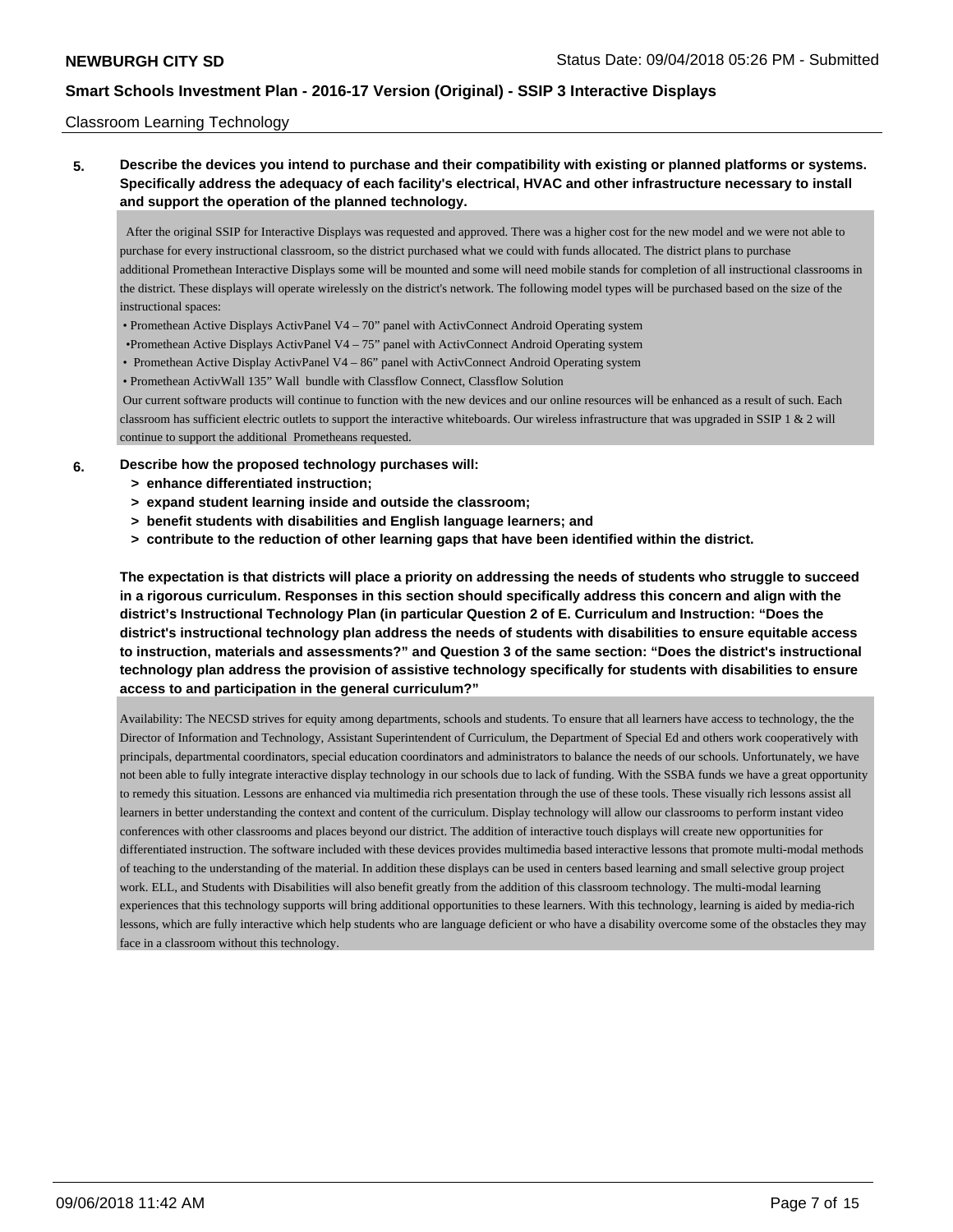### Classroom Learning Technology

**5. Describe the devices you intend to purchase and their compatibility with existing or planned platforms or systems. Specifically address the adequacy of each facility's electrical, HVAC and other infrastructure necessary to install and support the operation of the planned technology.**

 After the original SSIP for Interactive Displays was requested and approved. There was a higher cost for the new model and we were not able to purchase for every instructional classroom, so the district purchased what we could with funds allocated. The district plans to purchase additional Promethean Interactive Displays some will be mounted and some will need mobile stands for completion of all instructional classrooms in the district. These displays will operate wirelessly on the district's network. The following model types will be purchased based on the size of the instructional spaces:

- Promethean Active Displays ActivPanel V4 70" panel with ActivConnect Android Operating system
- •Promethean Active Displays ActivPanel V4 75" panel with ActivConnect Android Operating system
- Promethean Active Display ActivPanel V4 86" panel with ActivConnect Android Operating system
- Promethean ActivWall 135" Wall bundle with Classflow Connect, Classflow Solution

 Our current software products will continue to function with the new devices and our online resources will be enhanced as a result of such. Each classroom has sufficient electric outlets to support the interactive whiteboards. Our wireless infrastructure that was upgraded in SSIP 1 & 2 will continue to support the additional Prometheans requested.

#### **6. Describe how the proposed technology purchases will:**

- **> enhance differentiated instruction;**
- **> expand student learning inside and outside the classroom;**
- **> benefit students with disabilities and English language learners; and**
- **> contribute to the reduction of other learning gaps that have been identified within the district.**

**The expectation is that districts will place a priority on addressing the needs of students who struggle to succeed in a rigorous curriculum. Responses in this section should specifically address this concern and align with the district's Instructional Technology Plan (in particular Question 2 of E. Curriculum and Instruction: "Does the district's instructional technology plan address the needs of students with disabilities to ensure equitable access to instruction, materials and assessments?" and Question 3 of the same section: "Does the district's instructional technology plan address the provision of assistive technology specifically for students with disabilities to ensure access to and participation in the general curriculum?"**

Availability: The NECSD strives for equity among departments, schools and students. To ensure that all learners have access to technology, the the Director of Information and Technology, Assistant Superintendent of Curriculum, the Department of Special Ed and others work cooperatively with principals, departmental coordinators, special education coordinators and administrators to balance the needs of our schools. Unfortunately, we have not been able to fully integrate interactive display technology in our schools due to lack of funding. With the SSBA funds we have a great opportunity to remedy this situation. Lessons are enhanced via multimedia rich presentation through the use of these tools. These visually rich lessons assist all learners in better understanding the context and content of the curriculum. Display technology will allow our classrooms to perform instant video conferences with other classrooms and places beyond our district. The addition of interactive touch displays will create new opportunities for differentiated instruction. The software included with these devices provides multimedia based interactive lessons that promote multi-modal methods of teaching to the understanding of the material. In addition these displays can be used in centers based learning and small selective group project work. ELL, and Students with Disabilities will also benefit greatly from the addition of this classroom technology. The multi-modal learning experiences that this technology supports will bring additional opportunities to these learners. With this technology, learning is aided by media-rich lessons, which are fully interactive which help students who are language deficient or who have a disability overcome some of the obstacles they may face in a classroom without this technology.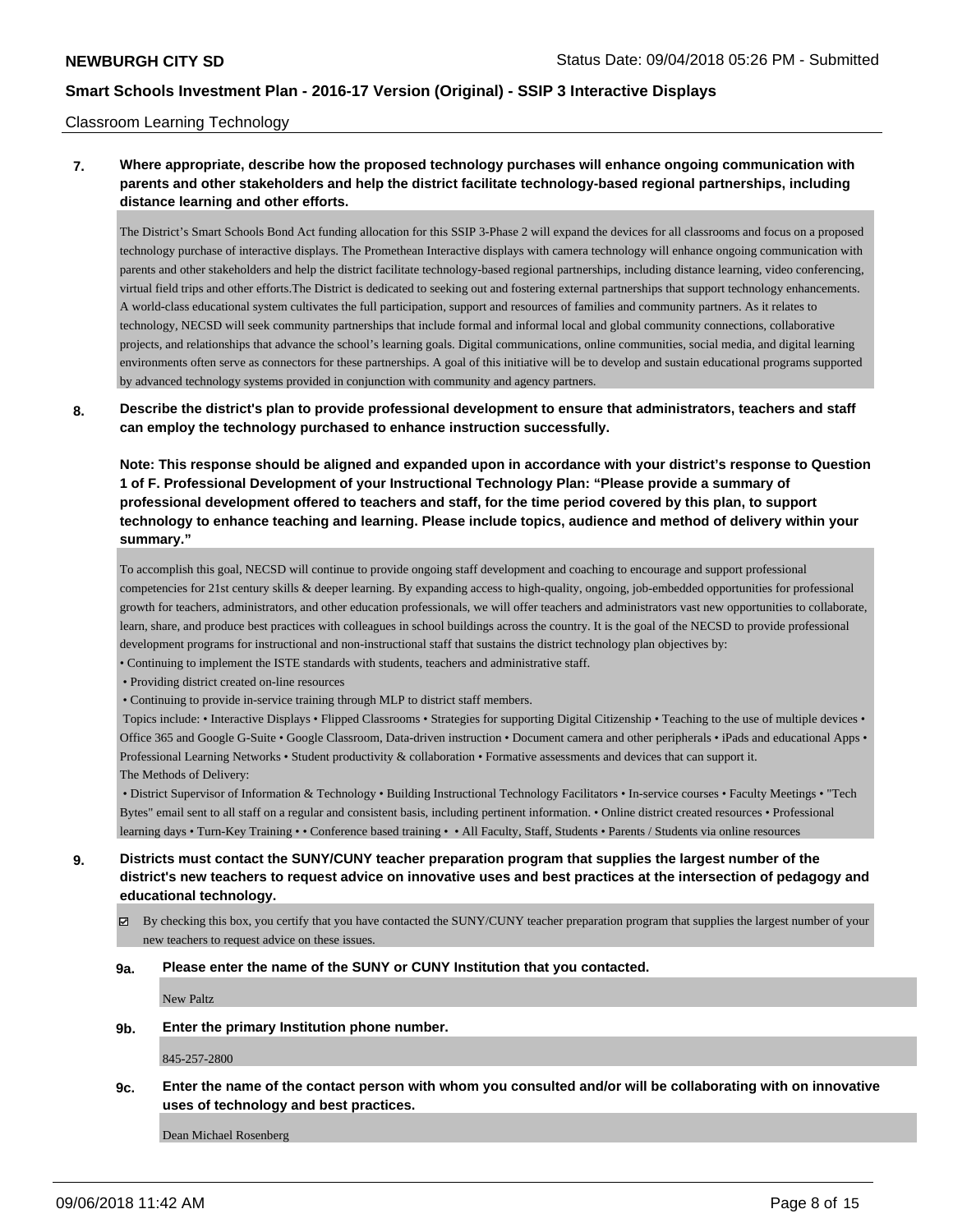### Classroom Learning Technology

## **7. Where appropriate, describe how the proposed technology purchases will enhance ongoing communication with parents and other stakeholders and help the district facilitate technology-based regional partnerships, including distance learning and other efforts.**

The District's Smart Schools Bond Act funding allocation for this SSIP 3-Phase 2 will expand the devices for all classrooms and focus on a proposed technology purchase of interactive displays. The Promethean Interactive displays with camera technology will enhance ongoing communication with parents and other stakeholders and help the district facilitate technology-based regional partnerships, including distance learning, video conferencing, virtual field trips and other efforts.The District is dedicated to seeking out and fostering external partnerships that support technology enhancements. A world-class educational system cultivates the full participation, support and resources of families and community partners. As it relates to technology, NECSD will seek community partnerships that include formal and informal local and global community connections, collaborative projects, and relationships that advance the school's learning goals. Digital communications, online communities, social media, and digital learning environments often serve as connectors for these partnerships. A goal of this initiative will be to develop and sustain educational programs supported by advanced technology systems provided in conjunction with community and agency partners.

### **8. Describe the district's plan to provide professional development to ensure that administrators, teachers and staff can employ the technology purchased to enhance instruction successfully.**

**Note: This response should be aligned and expanded upon in accordance with your district's response to Question 1 of F. Professional Development of your Instructional Technology Plan: "Please provide a summary of professional development offered to teachers and staff, for the time period covered by this plan, to support technology to enhance teaching and learning. Please include topics, audience and method of delivery within your summary."**

To accomplish this goal, NECSD will continue to provide ongoing staff development and coaching to encourage and support professional competencies for 21st century skills & deeper learning. By expanding access to high-quality, ongoing, job-embedded opportunities for professional growth for teachers, administrators, and other education professionals, we will offer teachers and administrators vast new opportunities to collaborate, learn, share, and produce best practices with colleagues in school buildings across the country. It is the goal of the NECSD to provide professional development programs for instructional and non-instructional staff that sustains the district technology plan objectives by:

• Continuing to implement the ISTE standards with students, teachers and administrative staff.

- Providing district created on-line resources
- Continuing to provide in-service training through MLP to district staff members.

 Topics include: • Interactive Displays • Flipped Classrooms • Strategies for supporting Digital Citizenship • Teaching to the use of multiple devices • Office 365 and Google G-Suite • Google Classroom, Data-driven instruction • Document camera and other peripherals • iPads and educational Apps • Professional Learning Networks • Student productivity & collaboration • Formative assessments and devices that can support it. The Methods of Delivery:

 • District Supervisor of Information & Technology • Building Instructional Technology Facilitators • In-service courses • Faculty Meetings • "Tech Bytes" email sent to all staff on a regular and consistent basis, including pertinent information. • Online district created resources • Professional learning days • Turn-Key Training • • Conference based training • • All Faculty, Staff, Students • Parents / Students via online resources

- **9. Districts must contact the SUNY/CUNY teacher preparation program that supplies the largest number of the district's new teachers to request advice on innovative uses and best practices at the intersection of pedagogy and educational technology.**
	- $\boxtimes$  By checking this box, you certify that you have contacted the SUNY/CUNY teacher preparation program that supplies the largest number of your new teachers to request advice on these issues.

#### **9a. Please enter the name of the SUNY or CUNY Institution that you contacted.**

New Paltz

**9b. Enter the primary Institution phone number.**

845-257-2800

**9c. Enter the name of the contact person with whom you consulted and/or will be collaborating with on innovative uses of technology and best practices.**

Dean Michael Rosenberg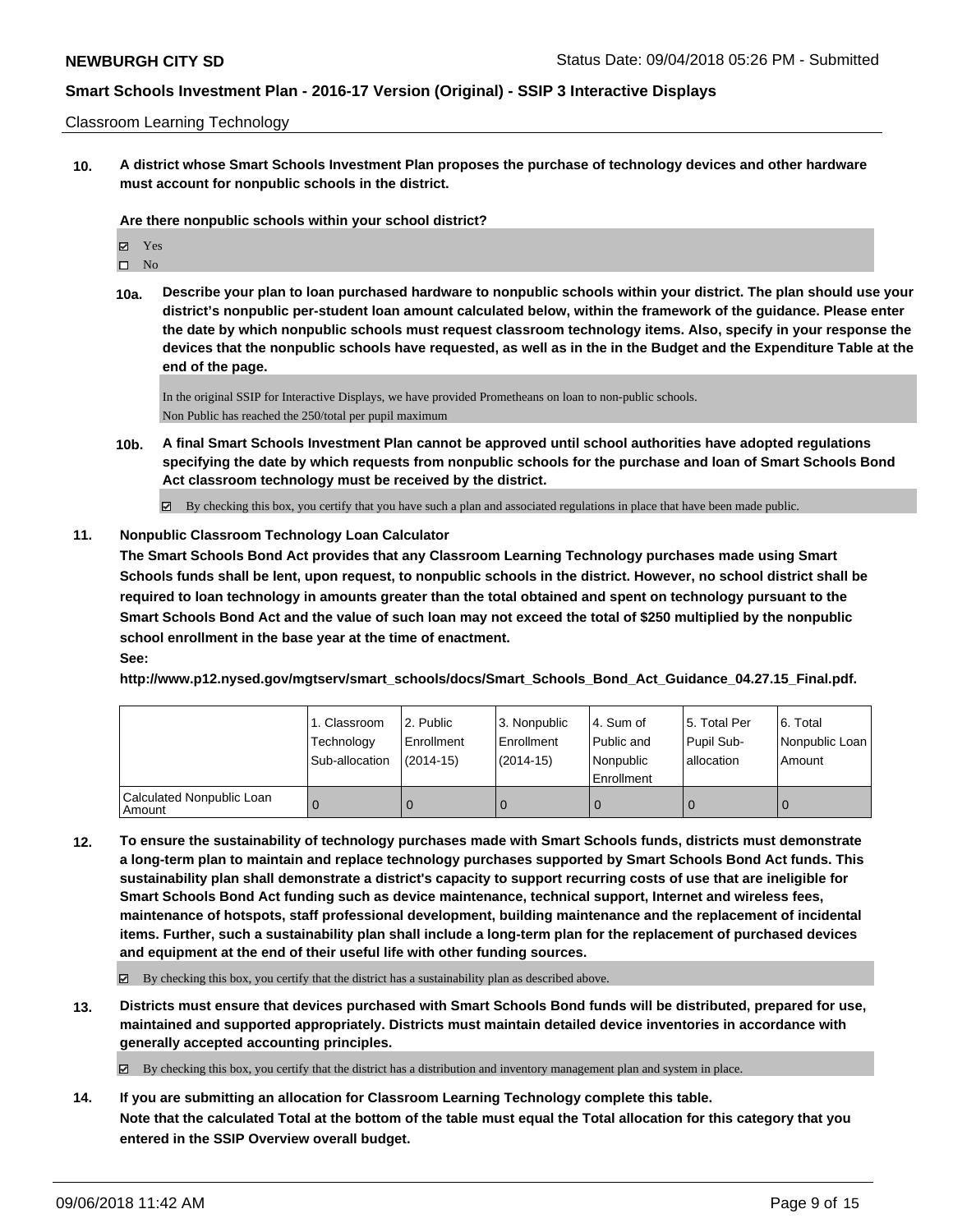### Classroom Learning Technology

**10. A district whose Smart Schools Investment Plan proposes the purchase of technology devices and other hardware must account for nonpublic schools in the district.**

**Are there nonpublic schools within your school district?**

| м | Y es |
|---|------|
| п | Ν∩   |

**10a. Describe your plan to loan purchased hardware to nonpublic schools within your district. The plan should use your district's nonpublic per-student loan amount calculated below, within the framework of the guidance. Please enter the date by which nonpublic schools must request classroom technology items. Also, specify in your response the devices that the nonpublic schools have requested, as well as in the in the Budget and the Expenditure Table at the end of the page.**

In the original SSIP for Interactive Displays, we have provided Prometheans on loan to non-public schools. Non Public has reached the 250/total per pupil maximum

**10b. A final Smart Schools Investment Plan cannot be approved until school authorities have adopted regulations specifying the date by which requests from nonpublic schools for the purchase and loan of Smart Schools Bond Act classroom technology must be received by the district.**

By checking this box, you certify that you have such a plan and associated regulations in place that have been made public.  $\overline{\mathbf{z}}$ 

### **11. Nonpublic Classroom Technology Loan Calculator**

**The Smart Schools Bond Act provides that any Classroom Learning Technology purchases made using Smart Schools funds shall be lent, upon request, to nonpublic schools in the district. However, no school district shall be required to loan technology in amounts greater than the total obtained and spent on technology pursuant to the Smart Schools Bond Act and the value of such loan may not exceed the total of \$250 multiplied by the nonpublic school enrollment in the base year at the time of enactment. See:**

**http://www.p12.nysed.gov/mgtserv/smart\_schools/docs/Smart\_Schools\_Bond\_Act\_Guidance\_04.27.15\_Final.pdf.**

|                                       | 1. Classroom   | l 2. Public  | 3. Nonpublic | l 4. Sum of | 15. Total Per | 6. Total       |
|---------------------------------------|----------------|--------------|--------------|-------------|---------------|----------------|
|                                       | Technology     | l Enrollment | Enrollment   | Public and  | Pupil Sub-    | Nonpublic Loan |
|                                       | Sub-allocation | $(2014-15)$  | (2014-15)    | l Nonpublic | allocation    | Amount         |
|                                       |                |              |              | Enrollment  |               |                |
| Calculated Nonpublic Loan<br>  Amount |                |              | 0            |             |               | 0              |

**12. To ensure the sustainability of technology purchases made with Smart Schools funds, districts must demonstrate a long-term plan to maintain and replace technology purchases supported by Smart Schools Bond Act funds. This sustainability plan shall demonstrate a district's capacity to support recurring costs of use that are ineligible for Smart Schools Bond Act funding such as device maintenance, technical support, Internet and wireless fees, maintenance of hotspots, staff professional development, building maintenance and the replacement of incidental items. Further, such a sustainability plan shall include a long-term plan for the replacement of purchased devices and equipment at the end of their useful life with other funding sources.**

 $\boxtimes$  By checking this box, you certify that the district has a sustainability plan as described above.

**13. Districts must ensure that devices purchased with Smart Schools Bond funds will be distributed, prepared for use, maintained and supported appropriately. Districts must maintain detailed device inventories in accordance with generally accepted accounting principles.**

 $\boxtimes$  By checking this box, you certify that the district has a distribution and inventory management plan and system in place.

**14. If you are submitting an allocation for Classroom Learning Technology complete this table. Note that the calculated Total at the bottom of the table must equal the Total allocation for this category that you entered in the SSIP Overview overall budget.**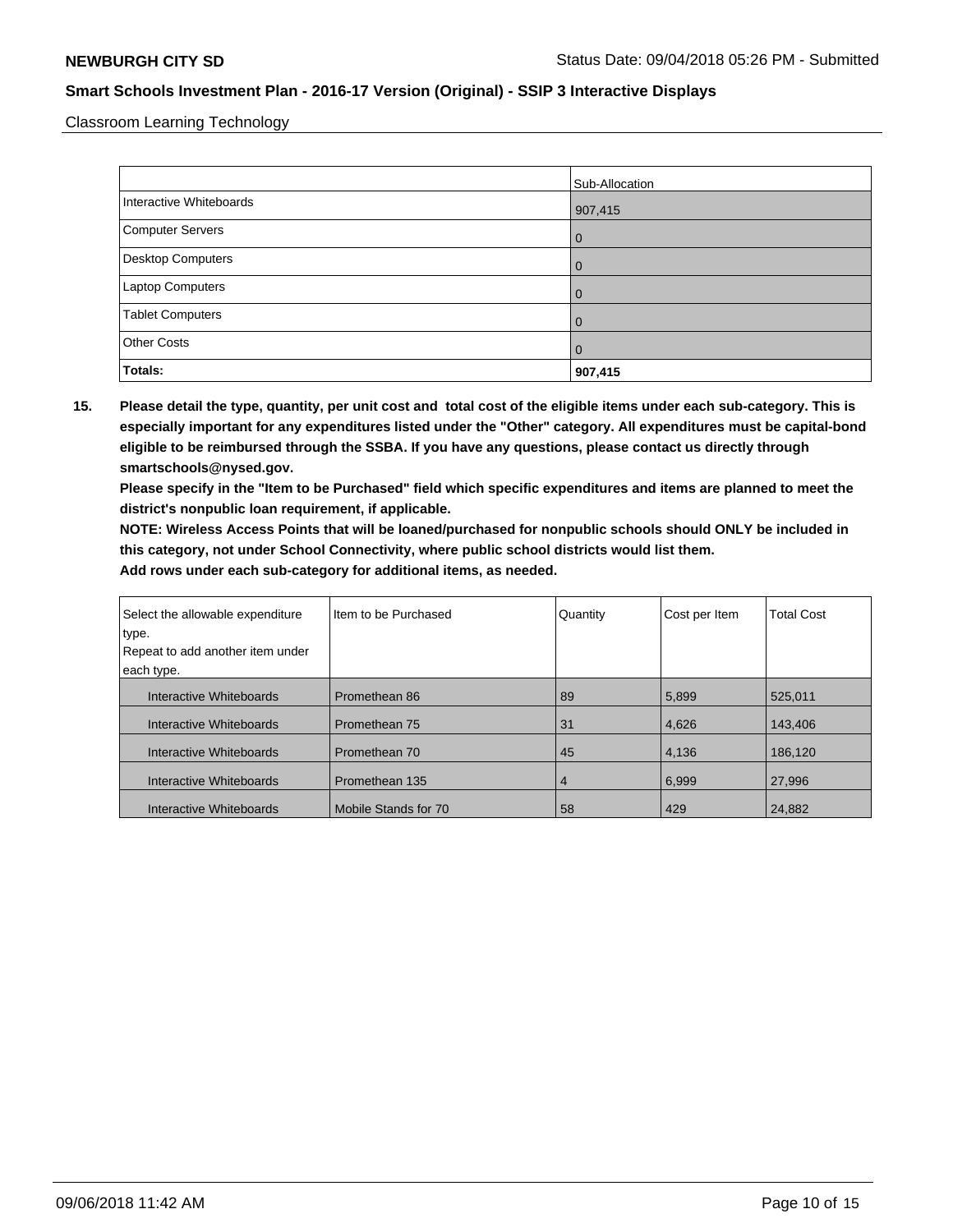Classroom Learning Technology

|                          | Sub-Allocation |
|--------------------------|----------------|
| Interactive Whiteboards  | 907,415        |
| Computer Servers         | $\overline{0}$ |
| <b>Desktop Computers</b> | $\overline{0}$ |
| Laptop Computers         | $\Omega$       |
| <b>Tablet Computers</b>  | $\Omega$       |
| <b>Other Costs</b>       | $\overline{0}$ |
| Totals:                  | 907,415        |

**15. Please detail the type, quantity, per unit cost and total cost of the eligible items under each sub-category. This is especially important for any expenditures listed under the "Other" category. All expenditures must be capital-bond eligible to be reimbursed through the SSBA. If you have any questions, please contact us directly through smartschools@nysed.gov.**

**Please specify in the "Item to be Purchased" field which specific expenditures and items are planned to meet the district's nonpublic loan requirement, if applicable.**

**NOTE: Wireless Access Points that will be loaned/purchased for nonpublic schools should ONLY be included in this category, not under School Connectivity, where public school districts would list them.**

| Select the allowable expenditure | Item to be Purchased | Quantity | Cost per Item | <b>Total Cost</b> |
|----------------------------------|----------------------|----------|---------------|-------------------|
| type.                            |                      |          |               |                   |
| Repeat to add another item under |                      |          |               |                   |
| each type.                       |                      |          |               |                   |
| Interactive Whiteboards          | Promethean 86        | 89       | 5,899         | 525.011           |
| Interactive Whiteboards          | Promethean 75        | 31       | 4,626         | 143,406           |
| Interactive Whiteboards          | Promethean 70        | 45       | 4,136         | 186,120           |
| Interactive Whiteboards          | Promethean 135       | 4        | 6,999         | 27,996            |
| Interactive Whiteboards          | Mobile Stands for 70 | 58       | 429           | 24,882            |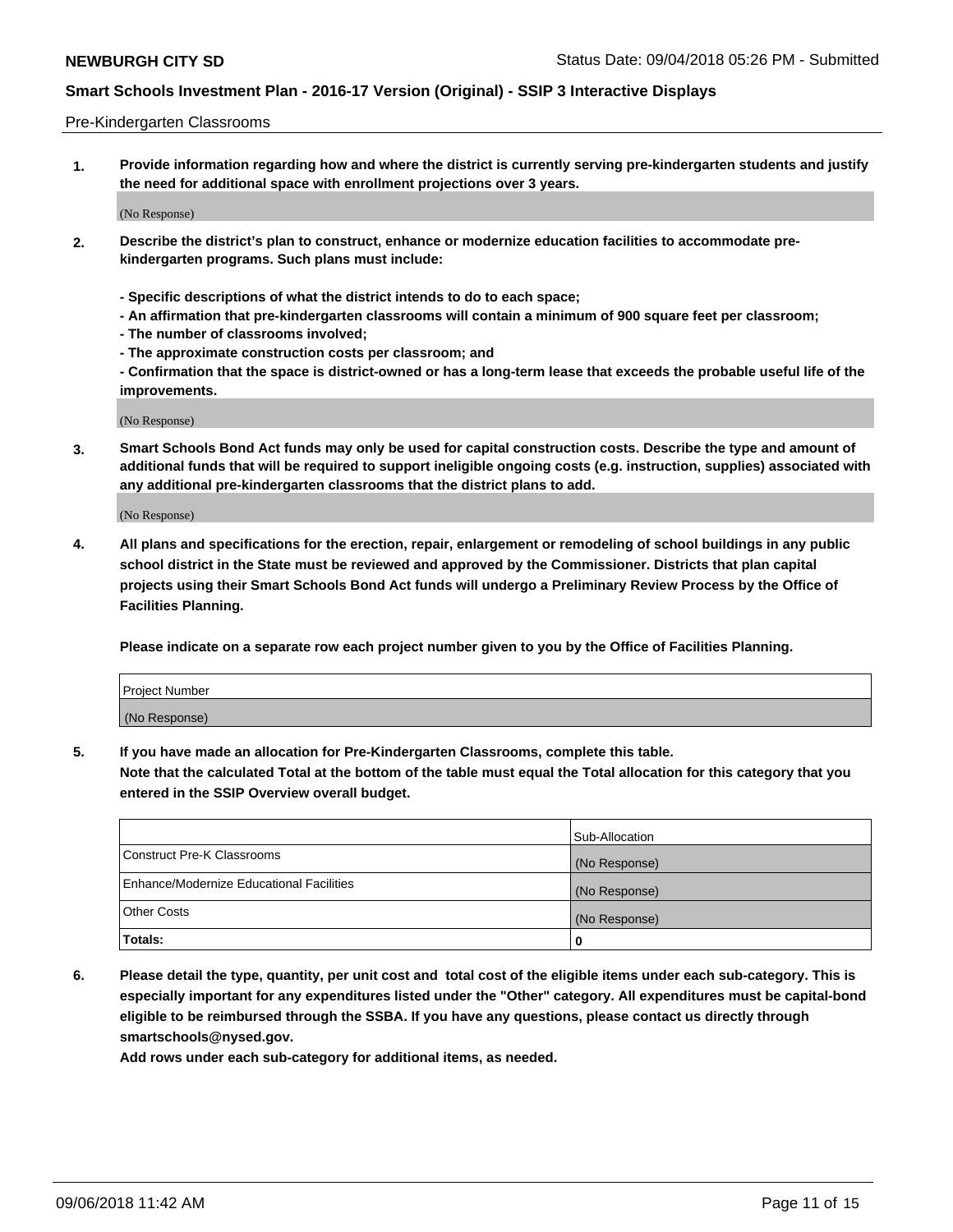### Pre-Kindergarten Classrooms

**1. Provide information regarding how and where the district is currently serving pre-kindergarten students and justify the need for additional space with enrollment projections over 3 years.**

(No Response)

- **2. Describe the district's plan to construct, enhance or modernize education facilities to accommodate prekindergarten programs. Such plans must include:**
	- **Specific descriptions of what the district intends to do to each space;**
	- **An affirmation that pre-kindergarten classrooms will contain a minimum of 900 square feet per classroom;**
	- **The number of classrooms involved;**
	- **The approximate construction costs per classroom; and**
	- **Confirmation that the space is district-owned or has a long-term lease that exceeds the probable useful life of the improvements.**

(No Response)

**3. Smart Schools Bond Act funds may only be used for capital construction costs. Describe the type and amount of additional funds that will be required to support ineligible ongoing costs (e.g. instruction, supplies) associated with any additional pre-kindergarten classrooms that the district plans to add.**

(No Response)

**4. All plans and specifications for the erection, repair, enlargement or remodeling of school buildings in any public school district in the State must be reviewed and approved by the Commissioner. Districts that plan capital projects using their Smart Schools Bond Act funds will undergo a Preliminary Review Process by the Office of Facilities Planning.**

**Please indicate on a separate row each project number given to you by the Office of Facilities Planning.**

| Project Number |  |
|----------------|--|
| (No Response)  |  |
|                |  |

**5. If you have made an allocation for Pre-Kindergarten Classrooms, complete this table.**

**Note that the calculated Total at the bottom of the table must equal the Total allocation for this category that you entered in the SSIP Overview overall budget.**

|                                          | Sub-Allocation |
|------------------------------------------|----------------|
| Construct Pre-K Classrooms               | (No Response)  |
| Enhance/Modernize Educational Facilities | (No Response)  |
| <b>Other Costs</b>                       | (No Response)  |
| Totals:                                  | 0              |

**6. Please detail the type, quantity, per unit cost and total cost of the eligible items under each sub-category. This is especially important for any expenditures listed under the "Other" category. All expenditures must be capital-bond eligible to be reimbursed through the SSBA. If you have any questions, please contact us directly through smartschools@nysed.gov.**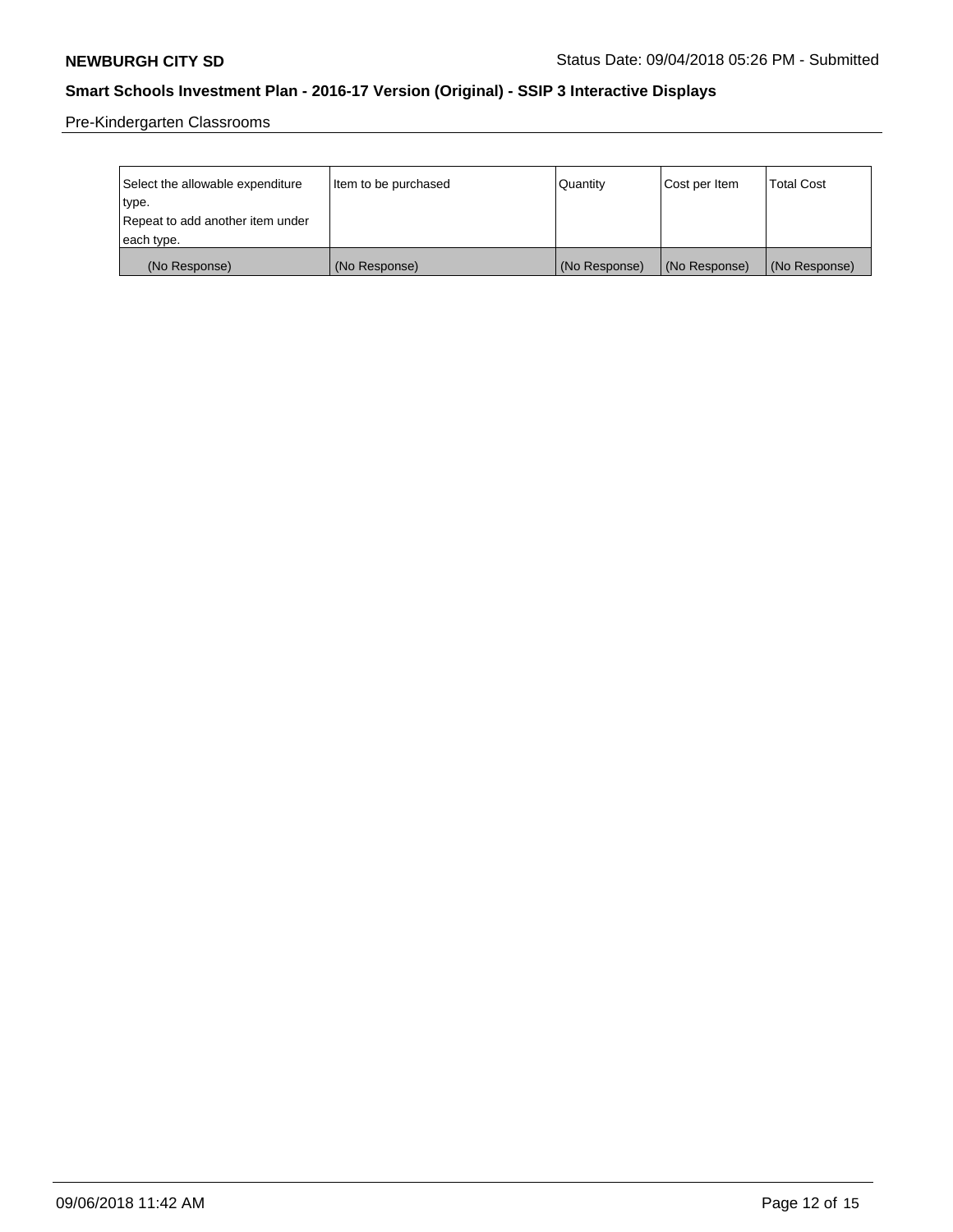Pre-Kindergarten Classrooms

| Select the allowable expenditure | Item to be purchased | Quantity      | Cost per Item | <b>Total Cost</b> |
|----------------------------------|----------------------|---------------|---------------|-------------------|
| type.                            |                      |               |               |                   |
| Repeat to add another item under |                      |               |               |                   |
| each type.                       |                      |               |               |                   |
| (No Response)                    | (No Response)        | (No Response) | (No Response) | (No Response)     |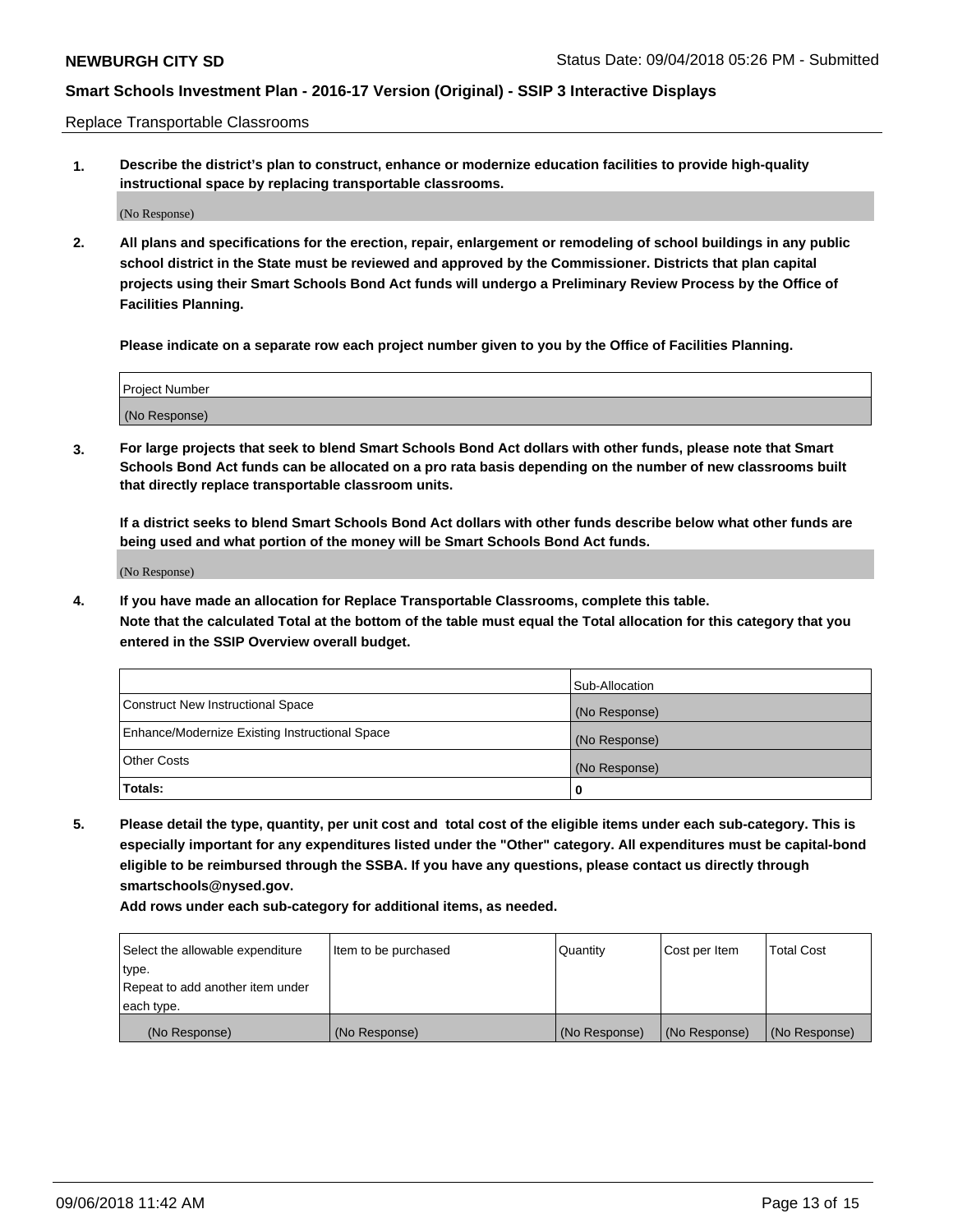Replace Transportable Classrooms

**1. Describe the district's plan to construct, enhance or modernize education facilities to provide high-quality instructional space by replacing transportable classrooms.**

(No Response)

**2. All plans and specifications for the erection, repair, enlargement or remodeling of school buildings in any public school district in the State must be reviewed and approved by the Commissioner. Districts that plan capital projects using their Smart Schools Bond Act funds will undergo a Preliminary Review Process by the Office of Facilities Planning.**

**Please indicate on a separate row each project number given to you by the Office of Facilities Planning.**

| Project Number |  |
|----------------|--|
|                |  |
| (No Response)  |  |

**3. For large projects that seek to blend Smart Schools Bond Act dollars with other funds, please note that Smart Schools Bond Act funds can be allocated on a pro rata basis depending on the number of new classrooms built that directly replace transportable classroom units.**

**If a district seeks to blend Smart Schools Bond Act dollars with other funds describe below what other funds are being used and what portion of the money will be Smart Schools Bond Act funds.**

(No Response)

**4. If you have made an allocation for Replace Transportable Classrooms, complete this table. Note that the calculated Total at the bottom of the table must equal the Total allocation for this category that you entered in the SSIP Overview overall budget.**

|                                                | Sub-Allocation |
|------------------------------------------------|----------------|
| Construct New Instructional Space              | (No Response)  |
| Enhance/Modernize Existing Instructional Space | (No Response)  |
| <b>Other Costs</b>                             | (No Response)  |
| Totals:                                        | 0              |

**5. Please detail the type, quantity, per unit cost and total cost of the eligible items under each sub-category. This is especially important for any expenditures listed under the "Other" category. All expenditures must be capital-bond eligible to be reimbursed through the SSBA. If you have any questions, please contact us directly through smartschools@nysed.gov.**

| Select the allowable expenditure | Item to be purchased | l Quantitv    | Cost per Item | <b>Total Cost</b> |
|----------------------------------|----------------------|---------------|---------------|-------------------|
| type.                            |                      |               |               |                   |
| Repeat to add another item under |                      |               |               |                   |
| each type.                       |                      |               |               |                   |
| (No Response)                    | (No Response)        | (No Response) | (No Response) | (No Response)     |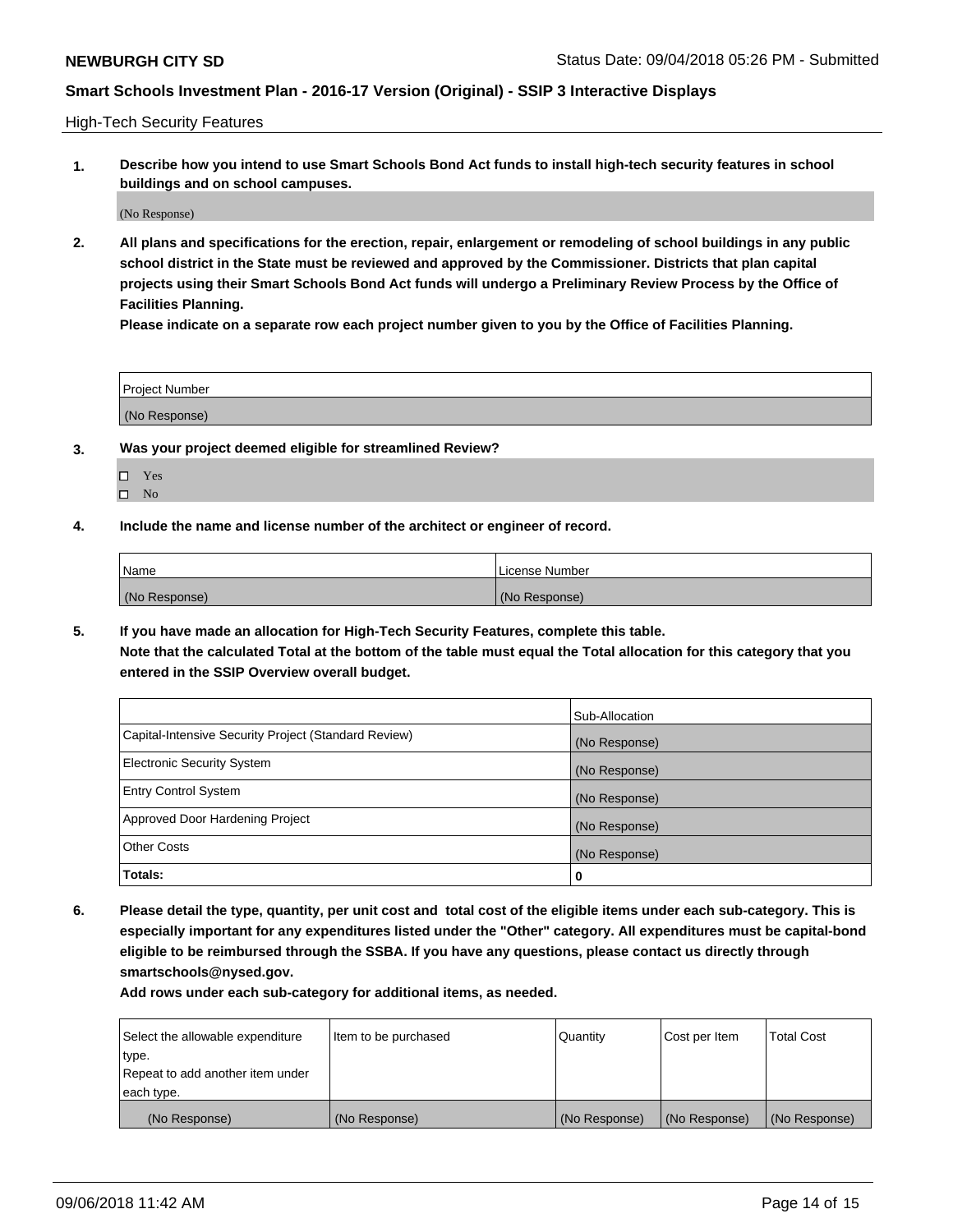High-Tech Security Features

**1. Describe how you intend to use Smart Schools Bond Act funds to install high-tech security features in school buildings and on school campuses.**

(No Response)

**2. All plans and specifications for the erection, repair, enlargement or remodeling of school buildings in any public school district in the State must be reviewed and approved by the Commissioner. Districts that plan capital projects using their Smart Schools Bond Act funds will undergo a Preliminary Review Process by the Office of Facilities Planning.** 

**Please indicate on a separate row each project number given to you by the Office of Facilities Planning.**

| <b>Project Number</b> |  |
|-----------------------|--|
| (No Response)         |  |

- **3. Was your project deemed eligible for streamlined Review?**
	- Yes
	- $\square$  No
- **4. Include the name and license number of the architect or engineer of record.**

| <b>Name</b>   | License Number |
|---------------|----------------|
| (No Response) | (No Response)  |

**5. If you have made an allocation for High-Tech Security Features, complete this table.**

**Note that the calculated Total at the bottom of the table must equal the Total allocation for this category that you entered in the SSIP Overview overall budget.**

|                                                      | Sub-Allocation |
|------------------------------------------------------|----------------|
| Capital-Intensive Security Project (Standard Review) | (No Response)  |
| <b>Electronic Security System</b>                    | (No Response)  |
| <b>Entry Control System</b>                          | (No Response)  |
| Approved Door Hardening Project                      | (No Response)  |
| <b>Other Costs</b>                                   | (No Response)  |
| Totals:                                              | 0              |

**6. Please detail the type, quantity, per unit cost and total cost of the eligible items under each sub-category. This is especially important for any expenditures listed under the "Other" category. All expenditures must be capital-bond eligible to be reimbursed through the SSBA. If you have any questions, please contact us directly through smartschools@nysed.gov.**

| Select the allowable expenditure | Item to be purchased | Quantity      | Cost per Item | <b>Total Cost</b> |
|----------------------------------|----------------------|---------------|---------------|-------------------|
| type.                            |                      |               |               |                   |
| Repeat to add another item under |                      |               |               |                   |
| each type.                       |                      |               |               |                   |
| (No Response)                    | (No Response)        | (No Response) | (No Response) | (No Response)     |